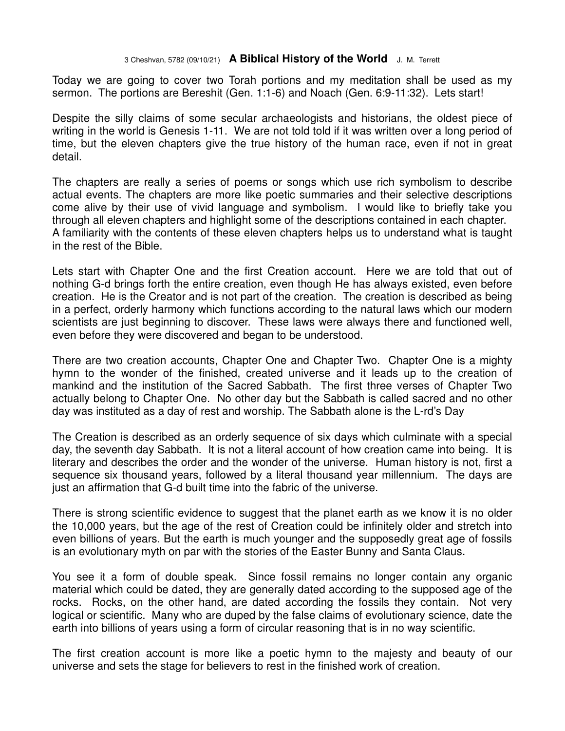## 3 Cheshvan, 5782 (09/10/21) **A Biblical History of the World** J. M. Terrett

Today we are going to cover two Torah portions and my meditation shall be used as my sermon. The portions are Bereshit (Gen. 1:1-6) and Noach (Gen. 6:9-11:32). Lets start!

Despite the silly claims of some secular archaeologists and historians, the oldest piece of writing in the world is Genesis 1-11. We are not told told if it was written over a long period of time, but the eleven chapters give the true history of the human race, even if not in great detail.

The chapters are really a series of poems or songs which use rich symbolism to describe actual events. The chapters are more like poetic summaries and their selective descriptions come alive by their use of vivid language and symbolism. I would like to briefly take you through all eleven chapters and highlight some of the descriptions contained in each chapter. A familiarity with the contents of these eleven chapters helps us to understand what is taught in the rest of the Bible.

Lets start with Chapter One and the first Creation account. Here we are told that out of nothing G-d brings forth the entire creation, even though He has always existed, even before creation. He is the Creator and is not part of the creation. The creation is described as being in a perfect, orderly harmony which functions according to the natural laws which our modern scientists are just beginning to discover. These laws were always there and functioned well, even before they were discovered and began to be understood.

There are two creation accounts, Chapter One and Chapter Two. Chapter One is a mighty hymn to the wonder of the finished, created universe and it leads up to the creation of mankind and the institution of the Sacred Sabbath. The first three verses of Chapter Two actually belong to Chapter One. No other day but the Sabbath is called sacred and no other day was instituted as a day of rest and worship. The Sabbath alone is the L-rd's Day

The Creation is described as an orderly sequence of six days which culminate with a special day, the seventh day Sabbath. It is not a literal account of how creation came into being. It is literary and describes the order and the wonder of the universe. Human history is not, first a sequence six thousand years, followed by a literal thousand year millennium. The days are just an affirmation that G-d built time into the fabric of the universe.

There is strong scientific evidence to suggest that the planet earth as we know it is no older the 10,000 years, but the age of the rest of Creation could be infinitely older and stretch into even billions of years. But the earth is much younger and the supposedly great age of fossils is an evolutionary myth on par with the stories of the Easter Bunny and Santa Claus.

You see it a form of double speak. Since fossil remains no longer contain any organic material which could be dated, they are generally dated according to the supposed age of the rocks. Rocks, on the other hand, are dated according the fossils they contain. Not very logical or scientific. Many who are duped by the false claims of evolutionary science, date the earth into billions of years using a form of circular reasoning that is in no way scientific.

The first creation account is more like a poetic hymn to the majesty and beauty of our universe and sets the stage for believers to rest in the finished work of creation.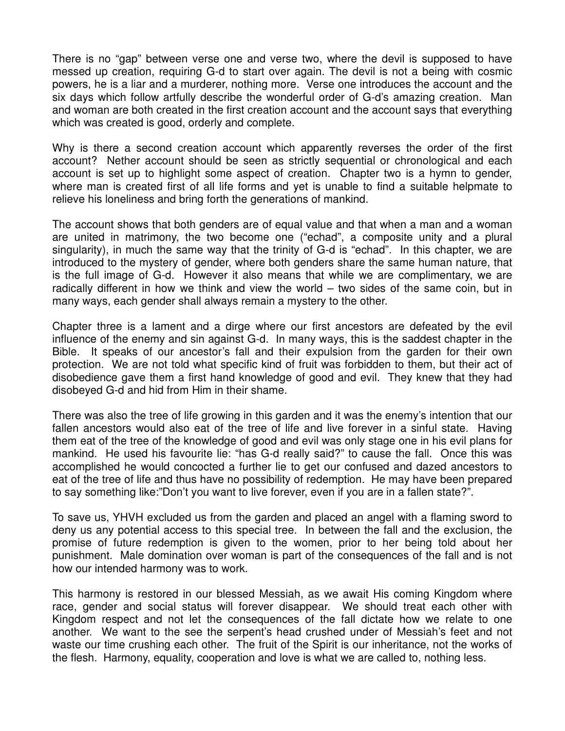There is no "gap" between verse one and verse two, where the devil is supposed to have messed up creation, requiring G-d to start over again. The devil is not a being with cosmic powers, he is a liar and a murderer, nothing more. Verse one introduces the account and the six days which follow artfully describe the wonderful order of G-d's amazing creation. Man and woman are both created in the first creation account and the account says that everything which was created is good, orderly and complete.

Why is there a second creation account which apparently reverses the order of the first account? Nether account should be seen as strictly sequential or chronological and each account is set up to highlight some aspect of creation. Chapter two is a hymn to gender, where man is created first of all life forms and yet is unable to find a suitable helpmate to relieve his loneliness and bring forth the generations of mankind.

The account shows that both genders are of equal value and that when a man and a woman are united in matrimony, the two become one ("echad", a composite unity and a plural singularity), in much the same way that the trinity of G-d is "echad". In this chapter, we are introduced to the mystery of gender, where both genders share the same human nature, that is the full image of G-d. However it also means that while we are complimentary, we are radically different in how we think and view the world – two sides of the same coin, but in many ways, each gender shall always remain a mystery to the other.

Chapter three is a lament and a dirge where our first ancestors are defeated by the evil influence of the enemy and sin against G-d. In many ways, this is the saddest chapter in the Bible. It speaks of our ancestor's fall and their expulsion from the garden for their own protection. We are not told what specific kind of fruit was forbidden to them, but their act of disobedience gave them a first hand knowledge of good and evil. They knew that they had disobeyed G-d and hid from Him in their shame.

There was also the tree of life growing in this garden and it was the enemy's intention that our fallen ancestors would also eat of the tree of life and live forever in a sinful state. Having them eat of the tree of the knowledge of good and evil was only stage one in his evil plans for mankind. He used his favourite lie: "has G-d really said?" to cause the fall. Once this was accomplished he would concocted a further lie to get our confused and dazed ancestors to eat of the tree of life and thus have no possibility of redemption. He may have been prepared to say something like:"Don't you want to live forever, even if you are in a fallen state?".

To save us, YHVH excluded us from the garden and placed an angel with a flaming sword to deny us any potential access to this special tree. In between the fall and the exclusion, the promise of future redemption is given to the women, prior to her being told about her punishment. Male domination over woman is part of the consequences of the fall and is not how our intended harmony was to work.

This harmony is restored in our blessed Messiah, as we await His coming Kingdom where race, gender and social status will forever disappear. We should treat each other with Kingdom respect and not let the consequences of the fall dictate how we relate to one another. We want to the see the serpent's head crushed under of Messiah's feet and not waste our time crushing each other. The fruit of the Spirit is our inheritance, not the works of the flesh. Harmony, equality, cooperation and love is what we are called to, nothing less.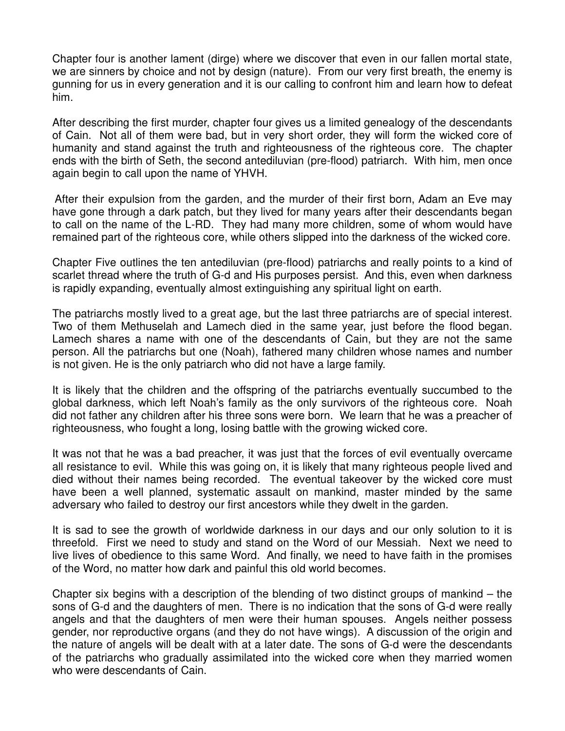Chapter four is another lament (dirge) where we discover that even in our fallen mortal state, we are sinners by choice and not by design (nature). From our very first breath, the enemy is gunning for us in every generation and it is our calling to confront him and learn how to defeat him.

After describing the first murder, chapter four gives us a limited genealogy of the descendants of Cain. Not all of them were bad, but in very short order, they will form the wicked core of humanity and stand against the truth and righteousness of the righteous core. The chapter ends with the birth of Seth, the second antediluvian (pre-flood) patriarch. With him, men once again begin to call upon the name of YHVH.

 After their expulsion from the garden, and the murder of their first born, Adam an Eve may have gone through a dark patch, but they lived for many years after their descendants began to call on the name of the L-RD. They had many more children, some of whom would have remained part of the righteous core, while others slipped into the darkness of the wicked core.

Chapter Five outlines the ten antediluvian (pre-flood) patriarchs and really points to a kind of scarlet thread where the truth of G-d and His purposes persist. And this, even when darkness is rapidly expanding, eventually almost extinguishing any spiritual light on earth.

The patriarchs mostly lived to a great age, but the last three patriarchs are of special interest. Two of them Methuselah and Lamech died in the same year, just before the flood began. Lamech shares a name with one of the descendants of Cain, but they are not the same person. All the patriarchs but one (Noah), fathered many children whose names and number is not given. He is the only patriarch who did not have a large family.

It is likely that the children and the offspring of the patriarchs eventually succumbed to the global darkness, which left Noah's family as the only survivors of the righteous core. Noah did not father any children after his three sons were born. We learn that he was a preacher of righteousness, who fought a long, losing battle with the growing wicked core.

It was not that he was a bad preacher, it was just that the forces of evil eventually overcame all resistance to evil. While this was going on, it is likely that many righteous people lived and died without their names being recorded. The eventual takeover by the wicked core must have been a well planned, systematic assault on mankind, master minded by the same adversary who failed to destroy our first ancestors while they dwelt in the garden.

It is sad to see the growth of worldwide darkness in our days and our only solution to it is threefold. First we need to study and stand on the Word of our Messiah. Next we need to live lives of obedience to this same Word. And finally, we need to have faith in the promises of the Word, no matter how dark and painful this old world becomes.

Chapter six begins with a description of the blending of two distinct groups of mankind – the sons of G-d and the daughters of men. There is no indication that the sons of G-d were really angels and that the daughters of men were their human spouses. Angels neither possess gender, nor reproductive organs (and they do not have wings). A discussion of the origin and the nature of angels will be dealt with at a later date. The sons of G-d were the descendants of the patriarchs who gradually assimilated into the wicked core when they married women who were descendants of Cain.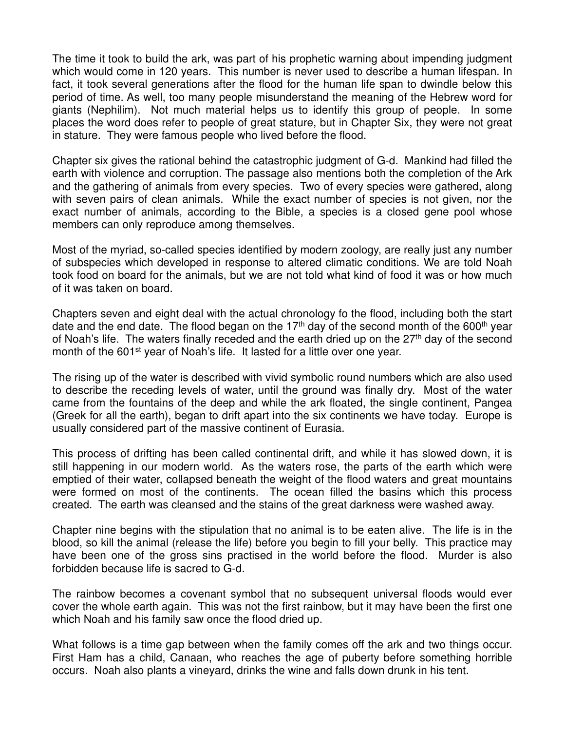The time it took to build the ark, was part of his prophetic warning about impending judgment which would come in 120 years. This number is never used to describe a human lifespan. In fact, it took several generations after the flood for the human life span to dwindle below this period of time. As well, too many people misunderstand the meaning of the Hebrew word for giants (Nephilim). Not much material helps us to identify this group of people. In some places the word does refer to people of great stature, but in Chapter Six, they were not great in stature. They were famous people who lived before the flood.

Chapter six gives the rational behind the catastrophic judgment of G-d. Mankind had filled the earth with violence and corruption. The passage also mentions both the completion of the Ark and the gathering of animals from every species. Two of every species were gathered, along with seven pairs of clean animals. While the exact number of species is not given, nor the exact number of animals, according to the Bible, a species is a closed gene pool whose members can only reproduce among themselves.

Most of the myriad, so-called species identified by modern zoology, are really just any number of subspecies which developed in response to altered climatic conditions. We are told Noah took food on board for the animals, but we are not told what kind of food it was or how much of it was taken on board.

Chapters seven and eight deal with the actual chronology fo the flood, including both the start date and the end date. The flood began on the 17<sup>th</sup> day of the second month of the 600<sup>th</sup> year of Noah's life. The waters finally receded and the earth dried up on the  $27<sup>th</sup>$  day of the second month of the 601<sup>st</sup> year of Noah's life. It lasted for a little over one year.

The rising up of the water is described with vivid symbolic round numbers which are also used to describe the receding levels of water, until the ground was finally dry. Most of the water came from the fountains of the deep and while the ark floated, the single continent, Pangea (Greek for all the earth), began to drift apart into the six continents we have today. Europe is usually considered part of the massive continent of Eurasia.

This process of drifting has been called continental drift, and while it has slowed down, it is still happening in our modern world. As the waters rose, the parts of the earth which were emptied of their water, collapsed beneath the weight of the flood waters and great mountains were formed on most of the continents. The ocean filled the basins which this process created. The earth was cleansed and the stains of the great darkness were washed away.

Chapter nine begins with the stipulation that no animal is to be eaten alive. The life is in the blood, so kill the animal (release the life) before you begin to fill your belly. This practice may have been one of the gross sins practised in the world before the flood. Murder is also forbidden because life is sacred to G-d.

The rainbow becomes a covenant symbol that no subsequent universal floods would ever cover the whole earth again. This was not the first rainbow, but it may have been the first one which Noah and his family saw once the flood dried up.

What follows is a time gap between when the family comes off the ark and two things occur. First Ham has a child, Canaan, who reaches the age of puberty before something horrible occurs. Noah also plants a vineyard, drinks the wine and falls down drunk in his tent.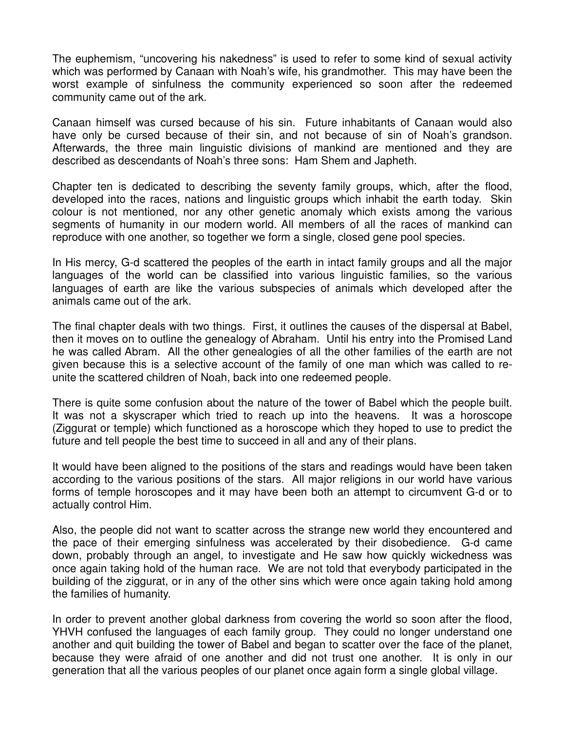The euphemism, "uncovering his nakedness" is used to refer to some kind of sexual activity which was performed by Canaan with Noah's wife, his grandmother. This may have been the worst example of sinfulness the community experienced so soon after the redeemed community came out of the ark.

Canaan himself was cursed because of his sin. Future inhabitants of Canaan would also have only be cursed because of their sin, and not because of sin of Noah's grandson. Afterwards, the three main linguistic divisions of mankind are mentioned and they are described as descendants of Noah's three sons: Ham Shem and Japheth.

Chapter ten is dedicated to describing the seventy family groups, which, after the flood, developed into the races, nations and linguistic groups which inhabit the earth today. Skin colour is not mentioned, nor any other genetic anomaly which exists among the various segments of humanity in our modern world. All members of all the races of mankind can reproduce with one another, so together we form a single, closed gene pool species.

In His mercy, G-d scattered the peoples of the earth in intact family groups and all the major languages of the world can be classified into various linguistic families, so the various languages of earth are like the various subspecies of animals which developed after the animals came out of the ark.

The final chapter deals with two things. First, it outlines the causes of the dispersal at Babel, then it moves on to outline the genealogy of Abraham. Until his entry into the Promised Land he was called Abram. All the other genealogies of all the other families of the earth are not given because this is a selective account of the family of one man which was called to reunite the scattered children of Noah, back into one redeemed people.

There is quite some confusion about the nature of the tower of Babel which the people built. It was not a skyscraper which tried to reach up into the heavens. It was a horoscope (Ziggurat or temple) which functioned as a horoscope which they hoped to use to predict the future and tell people the best time to succeed in all and any of their plans.

It would have been aligned to the positions of the stars and readings would have been taken according to the various positions of the stars. All major religions in our world have various forms of temple horoscopes and it may have been both an attempt to circumvent G-d or to actually control Him.

Also, the people did not want to scatter across the strange new world they encountered and the pace of their emerging sinfulness was accelerated by their disobedience. G-d came down, probably through an angel, to investigate and He saw how quickly wickedness was once again taking hold of the human race. We are not told that everybody participated in the building of the ziggurat, or in any of the other sins which were once again taking hold among the families of humanity.

In order to prevent another global darkness from covering the world so soon after the flood, YHVH confused the languages of each family group. They could no longer understand one another and quit building the tower of Babel and began to scatter over the face of the planet, because they were afraid of one another and did not trust one another. It is only in our generation that all the various peoples of our planet once again form a single global village.